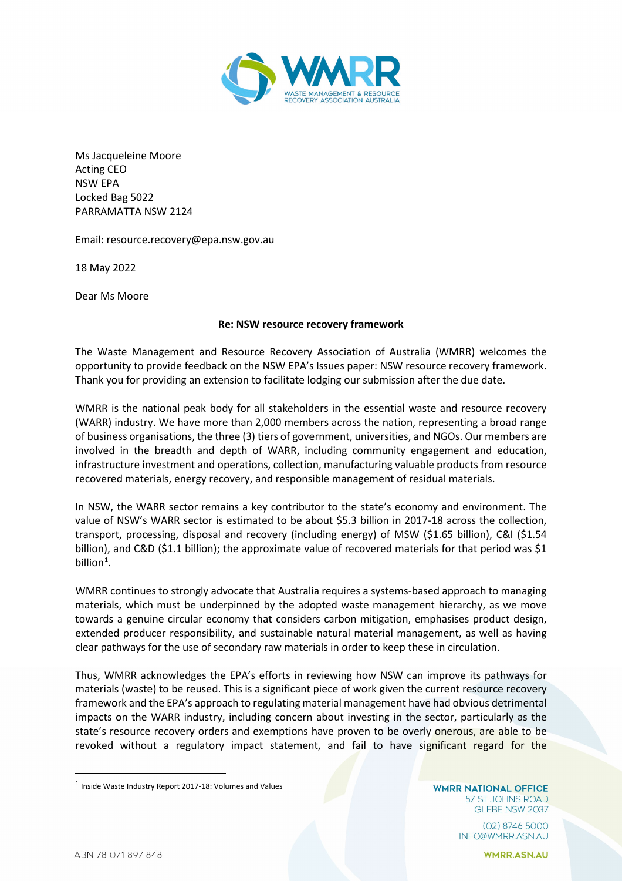

Ms Jacqueleine Moore Acting CEO NSW EPA Locked Bag 5022 PARRAMATTA NSW 2124

Email: resource.recovery@epa.nsw.gov.au

18 May 2022

Dear Ms Moore

## **Re: NSW resource recovery framework**

The Waste Management and Resource Recovery Association of Australia (WMRR) welcomes the opportunity to provide feedback on the NSW EPA's Issues paper: NSW resource recovery framework. Thank you for providing an extension to facilitate lodging our submission after the due date.

WMRR is the national peak body for all stakeholders in the essential waste and resource recovery (WARR) industry. We have more than 2,000 members across the nation, representing a broad range of business organisations, the three (3) tiers of government, universities, and NGOs. Our members are involved in the breadth and depth of WARR, including community engagement and education, infrastructure investment and operations, collection, manufacturing valuable products from resource recovered materials, energy recovery, and responsible management of residual materials.

In NSW, the WARR sector remains a key contributor to the state's economy and environment. The value of NSW's WARR sector is estimated to be about \$5.3 billion in 2017-18 across the collection, transport, processing, disposal and recovery (including energy) of MSW (\$1.65 billion), C&I (\$1.54 billion), and C&D (\$1.1 billion); the approximate value of recovered materials for that period was \$1 billion $1$ .

WMRR continues to strongly advocate that Australia requires a systems-based approach to managing materials, which must be underpinned by the adopted waste management hierarchy, as we move towards a genuine circular economy that considers carbon mitigation, emphasises product design, extended producer responsibility, and sustainable natural material management, as well as having clear pathways for the use of secondary raw materials in order to keep these in circulation.

Thus, WMRR acknowledges the EPA's efforts in reviewing how NSW can improve its pathways for materials (waste) to be reused. This is a significant piece of work given the current resource recovery framework and the EPA's approach to regulating material management have had obvious detrimental impacts on the WARR industry, including concern about investing in the sector, particularly as the state's resource recovery orders and exemptions have proven to be overly onerous, are able to be revoked without a regulatory impact statement, and fail to have significant regard for the

**WMRR NATIONAL OFFICE** 57 ST JOHNS ROAD GLEBE NSW 2037

> (02) 8746 5000 INFO@WMRR.ASN.AU

**WMRR.ASN.AU** 

<span id="page-0-0"></span> $^{\text{1}}$  Inside Waste Industry Report 2017-18: Volumes and Values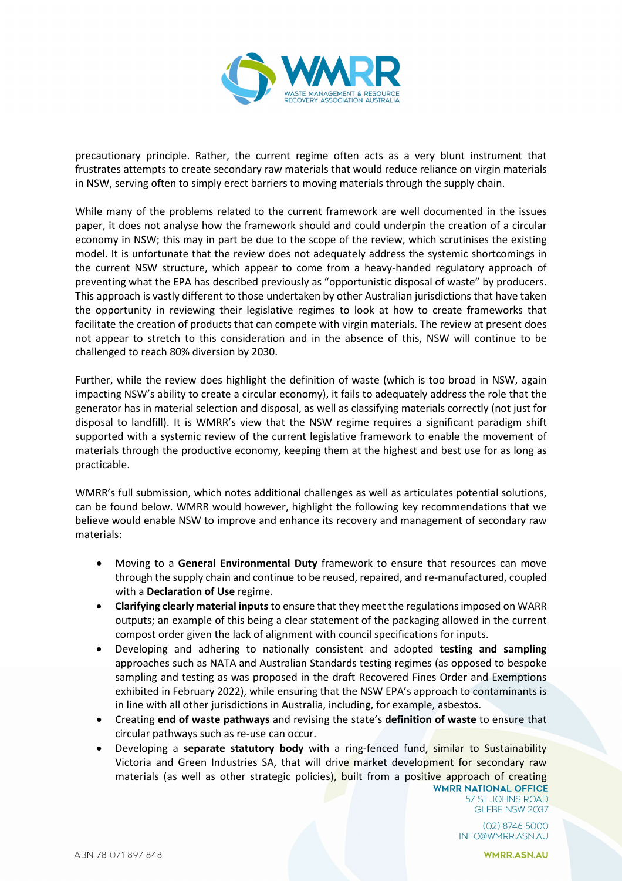

precautionary principle. Rather, the current regime often acts as a very blunt instrument that frustrates attempts to create secondary raw materials that would reduce reliance on virgin materials in NSW, serving often to simply erect barriers to moving materials through the supply chain.

While many of the problems related to the current framework are well documented in the issues paper, it does not analyse how the framework should and could underpin the creation of a circular economy in NSW; this may in part be due to the scope of the review, which scrutinises the existing model. It is unfortunate that the review does not adequately address the systemic shortcomings in the current NSW structure, which appear to come from a heavy-handed regulatory approach of preventing what the EPA has described previously as "opportunistic disposal of waste" by producers. This approach is vastly different to those undertaken by other Australian jurisdictions that have taken the opportunity in reviewing their legislative regimes to look at how to create frameworks that facilitate the creation of products that can compete with virgin materials. The review at present does not appear to stretch to this consideration and in the absence of this, NSW will continue to be challenged to reach 80% diversion by 2030.

Further, while the review does highlight the definition of waste (which is too broad in NSW, again impacting NSW's ability to create a circular economy), it fails to adequately address the role that the generator has in material selection and disposal, as well as classifying materials correctly (not just for disposal to landfill). It is WMRR's view that the NSW regime requires a significant paradigm shift supported with a systemic review of the current legislative framework to enable the movement of materials through the productive economy, keeping them at the highest and best use for as long as practicable.

WMRR's full submission, which notes additional challenges as well as articulates potential solutions, can be found below. WMRR would however, highlight the following key recommendations that we believe would enable NSW to improve and enhance its recovery and management of secondary raw materials:

- Moving to a **General Environmental Duty** framework to ensure that resources can move through the supply chain and continue to be reused, repaired, and re-manufactured, coupled with a **Declaration of Use** regime.
- **Clarifying clearly material inputs** to ensure that they meet the regulations imposed on WARR outputs; an example of this being a clear statement of the packaging allowed in the current compost order given the lack of alignment with council specifications for inputs.
- Developing and adhering to nationally consistent and adopted **testing and sampling** approaches such as NATA and Australian Standards testing regimes (as opposed to bespoke sampling and testing as was proposed in the draft Recovered Fines Order and Exemptions exhibited in February 2022), while ensuring that the NSW EPA's approach to contaminants is in line with all other jurisdictions in Australia, including, for example, asbestos.
- Creating **end of waste pathways** and revising the state's **definition of waste** to ensure that circular pathways such as re-use can occur.
- Developing a **separate statutory body** with a ring-fenced fund, similar to Sustainability Victoria and Green Industries SA, that will drive market development for secondary raw materials (as well as other strategic policies), built from a positive approach of creating<br>WMRR NATIONAL OFFICE

57 ST JOHNS ROAD GLEBE NSW 2037

 $(02)$  8746 5000 INFO@WMRR.ASN.AU

**WMRR.ASN.AU**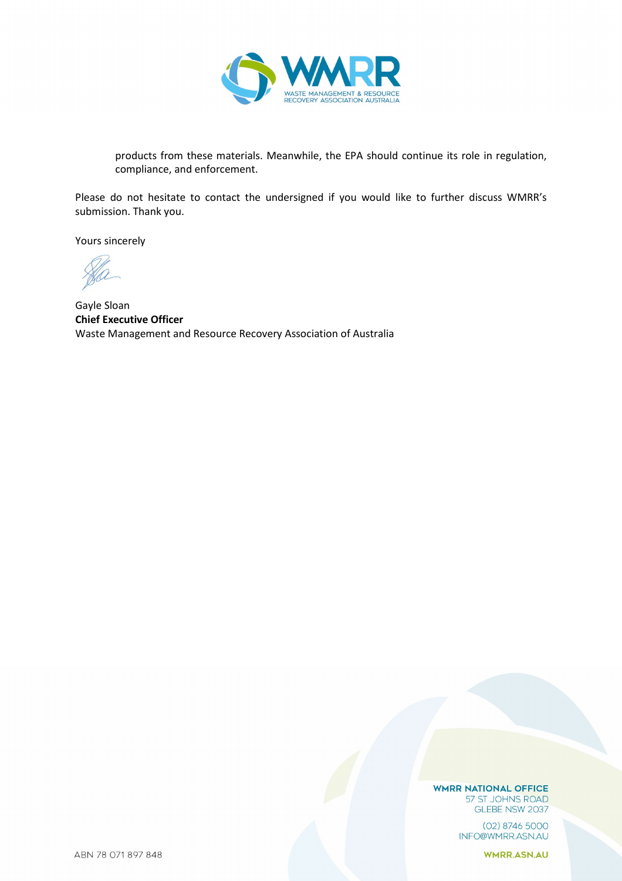

products from these materials. Meanwhile, the EPA should continue its role in regulation, compliance, and enforcement.

Please do not hesitate to contact the undersigned if you would like to further discuss WMRR's submission. Thank you.

Yours sincerely

Gayle Sloan **Chief Executive Officer** Waste Management and Resource Recovery Association of Australia

**WMRR NATIONAL OFFICE** 57 ST JOHNS ROAD GLEBE NSW 2037

> $(02)$  8746 5000 INFO@WMRR.ASN.AU

> > **WMRR.ASN.AU**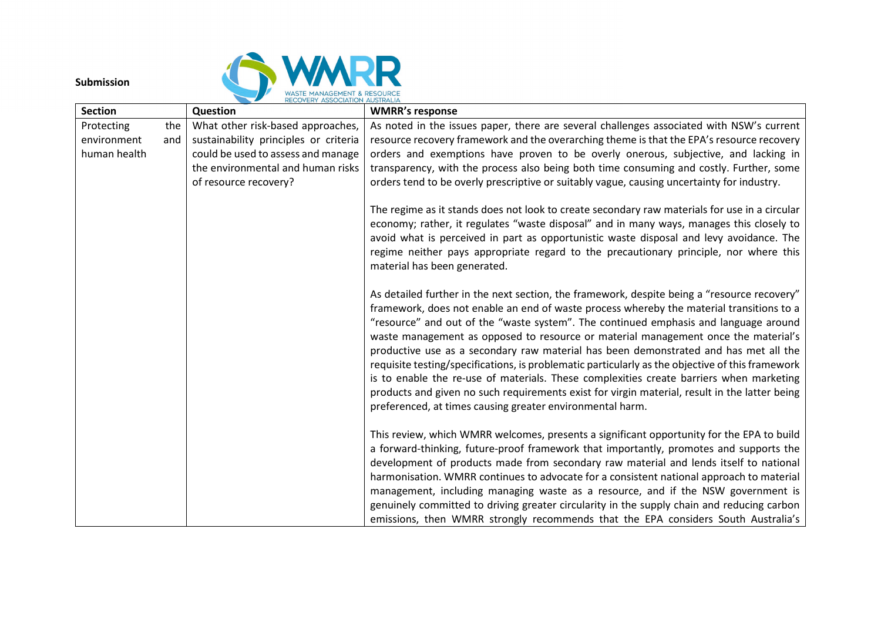

## **Submission**

|                           |            | RECOVERY ASSOCIATION AUSTRALIA                                             |                                                                                                                                                                                                                                                                                                                                                                                                               |
|---------------------------|------------|----------------------------------------------------------------------------|---------------------------------------------------------------------------------------------------------------------------------------------------------------------------------------------------------------------------------------------------------------------------------------------------------------------------------------------------------------------------------------------------------------|
| <b>Section</b>            |            | Question                                                                   | <b>WMRR's response</b>                                                                                                                                                                                                                                                                                                                                                                                        |
| Protecting<br>environment | the<br>and | What other risk-based approaches,<br>sustainability principles or criteria | As noted in the issues paper, there are several challenges associated with NSW's current<br>resource recovery framework and the overarching theme is that the EPA's resource recovery                                                                                                                                                                                                                         |
| human health              |            | could be used to assess and manage                                         | orders and exemptions have proven to be overly onerous, subjective, and lacking in                                                                                                                                                                                                                                                                                                                            |
|                           |            | the environmental and human risks                                          | transparency, with the process also being both time consuming and costly. Further, some                                                                                                                                                                                                                                                                                                                       |
|                           |            | of resource recovery?                                                      | orders tend to be overly prescriptive or suitably vague, causing uncertainty for industry.                                                                                                                                                                                                                                                                                                                    |
|                           |            |                                                                            |                                                                                                                                                                                                                                                                                                                                                                                                               |
|                           |            |                                                                            | The regime as it stands does not look to create secondary raw materials for use in a circular<br>economy; rather, it regulates "waste disposal" and in many ways, manages this closely to<br>avoid what is perceived in part as opportunistic waste disposal and levy avoidance. The<br>regime neither pays appropriate regard to the precautionary principle, nor where this<br>material has been generated. |
|                           |            |                                                                            | As detailed further in the next section, the framework, despite being a "resource recovery"                                                                                                                                                                                                                                                                                                                   |
|                           |            |                                                                            | framework, does not enable an end of waste process whereby the material transitions to a                                                                                                                                                                                                                                                                                                                      |
|                           |            |                                                                            | "resource" and out of the "waste system". The continued emphasis and language around                                                                                                                                                                                                                                                                                                                          |
|                           |            |                                                                            | waste management as opposed to resource or material management once the material's                                                                                                                                                                                                                                                                                                                            |
|                           |            |                                                                            | productive use as a secondary raw material has been demonstrated and has met all the                                                                                                                                                                                                                                                                                                                          |
|                           |            |                                                                            | requisite testing/specifications, is problematic particularly as the objective of this framework                                                                                                                                                                                                                                                                                                              |
|                           |            |                                                                            | is to enable the re-use of materials. These complexities create barriers when marketing                                                                                                                                                                                                                                                                                                                       |
|                           |            |                                                                            | products and given no such requirements exist for virgin material, result in the latter being                                                                                                                                                                                                                                                                                                                 |
|                           |            |                                                                            | preferenced, at times causing greater environmental harm.                                                                                                                                                                                                                                                                                                                                                     |
|                           |            |                                                                            | This review, which WMRR welcomes, presents a significant opportunity for the EPA to build                                                                                                                                                                                                                                                                                                                     |
|                           |            |                                                                            | a forward-thinking, future-proof framework that importantly, promotes and supports the                                                                                                                                                                                                                                                                                                                        |
|                           |            |                                                                            | development of products made from secondary raw material and lends itself to national                                                                                                                                                                                                                                                                                                                         |
|                           |            |                                                                            | harmonisation. WMRR continues to advocate for a consistent national approach to material                                                                                                                                                                                                                                                                                                                      |
|                           |            |                                                                            | management, including managing waste as a resource, and if the NSW government is                                                                                                                                                                                                                                                                                                                              |
|                           |            |                                                                            | genuinely committed to driving greater circularity in the supply chain and reducing carbon                                                                                                                                                                                                                                                                                                                    |
|                           |            |                                                                            | emissions, then WMRR strongly recommends that the EPA considers South Australia's                                                                                                                                                                                                                                                                                                                             |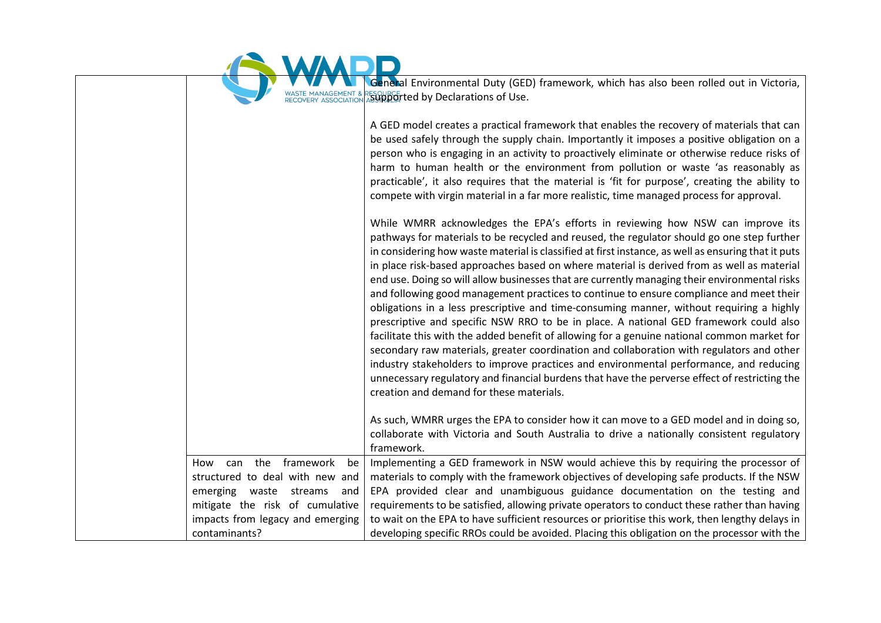

General Environmental Duty (GED) framework, which has also been rolled out in Victoria, WASTE MANAGEMENT & RECOVERY ASSOCIATION ASSUMPTED BY Declarations of Use.

|                                  | A GED model creates a practical framework that enables the recovery of materials that can<br>be used safely through the supply chain. Importantly it imposes a positive obligation on a<br>person who is engaging in an activity to proactively eliminate or otherwise reduce risks of<br>harm to human health or the environment from pollution or waste 'as reasonably as<br>practicable', it also requires that the material is 'fit for purpose', creating the ability to<br>compete with virgin material in a far more realistic, time managed process for approval.                                                                                                                                                                                                                                                                                                                                                                                                                                                                                                                                                                                                                             |
|----------------------------------|-------------------------------------------------------------------------------------------------------------------------------------------------------------------------------------------------------------------------------------------------------------------------------------------------------------------------------------------------------------------------------------------------------------------------------------------------------------------------------------------------------------------------------------------------------------------------------------------------------------------------------------------------------------------------------------------------------------------------------------------------------------------------------------------------------------------------------------------------------------------------------------------------------------------------------------------------------------------------------------------------------------------------------------------------------------------------------------------------------------------------------------------------------------------------------------------------------|
|                                  | While WMRR acknowledges the EPA's efforts in reviewing how NSW can improve its<br>pathways for materials to be recycled and reused, the regulator should go one step further<br>in considering how waste material is classified at first instance, as well as ensuring that it puts<br>in place risk-based approaches based on where material is derived from as well as material<br>end use. Doing so will allow businesses that are currently managing their environmental risks<br>and following good management practices to continue to ensure compliance and meet their<br>obligations in a less prescriptive and time-consuming manner, without requiring a highly<br>prescriptive and specific NSW RRO to be in place. A national GED framework could also<br>facilitate this with the added benefit of allowing for a genuine national common market for<br>secondary raw materials, greater coordination and collaboration with regulators and other<br>industry stakeholders to improve practices and environmental performance, and reducing<br>unnecessary regulatory and financial burdens that have the perverse effect of restricting the<br>creation and demand for these materials. |
|                                  | As such, WMRR urges the EPA to consider how it can move to a GED model and in doing so,<br>collaborate with Victoria and South Australia to drive a nationally consistent regulatory<br>framework.                                                                                                                                                                                                                                                                                                                                                                                                                                                                                                                                                                                                                                                                                                                                                                                                                                                                                                                                                                                                    |
| How can the framework<br>be      | Implementing a GED framework in NSW would achieve this by requiring the processor of                                                                                                                                                                                                                                                                                                                                                                                                                                                                                                                                                                                                                                                                                                                                                                                                                                                                                                                                                                                                                                                                                                                  |
| structured to deal with new and  | materials to comply with the framework objectives of developing safe products. If the NSW                                                                                                                                                                                                                                                                                                                                                                                                                                                                                                                                                                                                                                                                                                                                                                                                                                                                                                                                                                                                                                                                                                             |
| emerging waste<br>streams<br>and | EPA provided clear and unambiguous guidance documentation on the testing and                                                                                                                                                                                                                                                                                                                                                                                                                                                                                                                                                                                                                                                                                                                                                                                                                                                                                                                                                                                                                                                                                                                          |
| mitigate the risk of cumulative  | requirements to be satisfied, allowing private operators to conduct these rather than having                                                                                                                                                                                                                                                                                                                                                                                                                                                                                                                                                                                                                                                                                                                                                                                                                                                                                                                                                                                                                                                                                                          |
| impacts from legacy and emerging | to wait on the EPA to have sufficient resources or prioritise this work, then lengthy delays in                                                                                                                                                                                                                                                                                                                                                                                                                                                                                                                                                                                                                                                                                                                                                                                                                                                                                                                                                                                                                                                                                                       |
| contaminants?                    | developing specific RROs could be avoided. Placing this obligation on the processor with the                                                                                                                                                                                                                                                                                                                                                                                                                                                                                                                                                                                                                                                                                                                                                                                                                                                                                                                                                                                                                                                                                                          |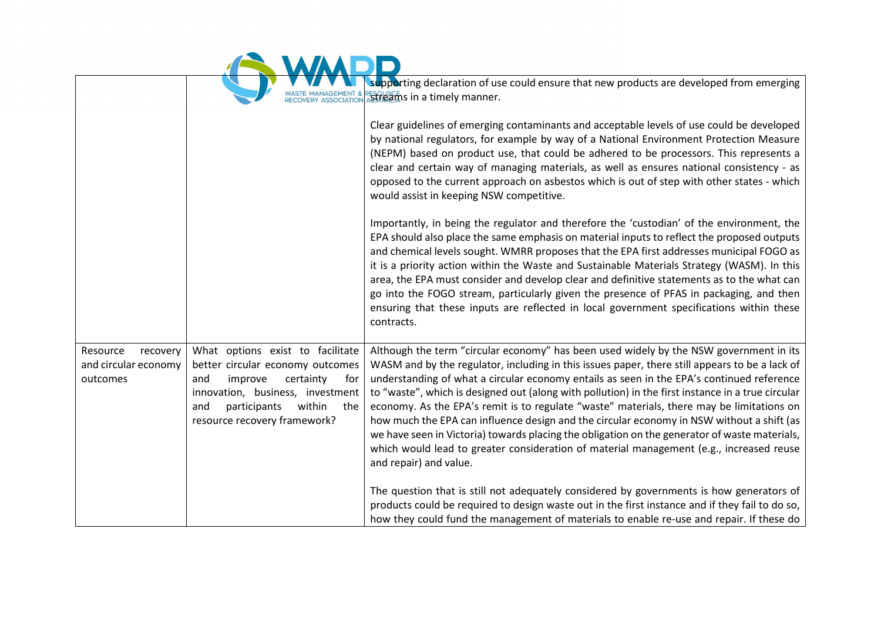|                                                          | RECOVERY ASSOCIATION                                                                                                                                                                                                   | supporting declaration of use could ensure that new products are developed from emerging<br><b>Streams in a timely manner.</b>                                                                                                                                                                                                                                                                                                                                                                                                                                                                                                                                                                                                                                                                             |
|----------------------------------------------------------|------------------------------------------------------------------------------------------------------------------------------------------------------------------------------------------------------------------------|------------------------------------------------------------------------------------------------------------------------------------------------------------------------------------------------------------------------------------------------------------------------------------------------------------------------------------------------------------------------------------------------------------------------------------------------------------------------------------------------------------------------------------------------------------------------------------------------------------------------------------------------------------------------------------------------------------------------------------------------------------------------------------------------------------|
|                                                          |                                                                                                                                                                                                                        | Clear guidelines of emerging contaminants and acceptable levels of use could be developed<br>by national regulators, for example by way of a National Environment Protection Measure<br>(NEPM) based on product use, that could be adhered to be processors. This represents a<br>clear and certain way of managing materials, as well as ensures national consistency - as<br>opposed to the current approach on asbestos which is out of step with other states - which<br>would assist in keeping NSW competitive.                                                                                                                                                                                                                                                                                      |
|                                                          |                                                                                                                                                                                                                        | Importantly, in being the regulator and therefore the 'custodian' of the environment, the<br>EPA should also place the same emphasis on material inputs to reflect the proposed outputs<br>and chemical levels sought. WMRR proposes that the EPA first addresses municipal FOGO as<br>it is a priority action within the Waste and Sustainable Materials Strategy (WASM). In this<br>area, the EPA must consider and develop clear and definitive statements as to the what can<br>go into the FOGO stream, particularly given the presence of PFAS in packaging, and then<br>ensuring that these inputs are reflected in local government specifications within these<br>contracts.                                                                                                                      |
| Resource<br>recovery<br>and circular economy<br>outcomes | What options exist to facilitate<br>better circular economy outcomes<br>certainty<br>and<br>improve<br>for<br>innovation, business, investment<br>within<br>participants<br>and<br>the<br>resource recovery framework? | Although the term "circular economy" has been used widely by the NSW government in its<br>WASM and by the regulator, including in this issues paper, there still appears to be a lack of<br>understanding of what a circular economy entails as seen in the EPA's continued reference<br>to "waste", which is designed out (along with pollution) in the first instance in a true circular<br>economy. As the EPA's remit is to regulate "waste" materials, there may be limitations on<br>how much the EPA can influence design and the circular economy in NSW without a shift (as<br>we have seen in Victoria) towards placing the obligation on the generator of waste materials,<br>which would lead to greater consideration of material management (e.g., increased reuse<br>and repair) and value. |
|                                                          |                                                                                                                                                                                                                        | The question that is still not adequately considered by governments is how generators of<br>products could be required to design waste out in the first instance and if they fail to do so,<br>how they could fund the management of materials to enable re-use and repair. If these do                                                                                                                                                                                                                                                                                                                                                                                                                                                                                                                    |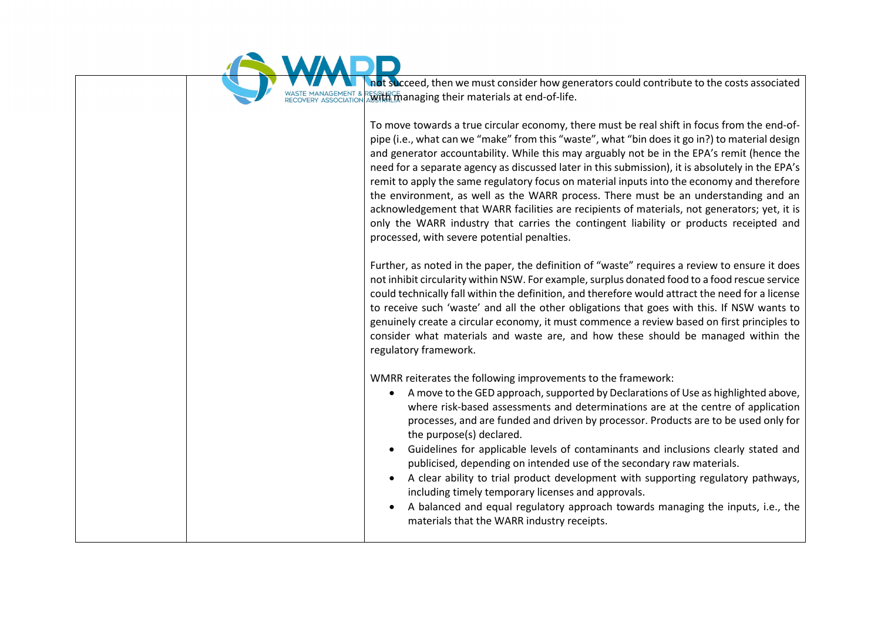

not succeed, then we must consider how generators could contribute to the costs associated **With managing their materials at end-of-life.** 

To move towards a true circular economy, there must be real shift in focus from the end-ofpipe (i.e., what can we "make" from this "waste", what "bin does it go in?) to material design and generator accountability. While this may arguably not be in the EPA's remit (hence the need for a separate agency as discussed later in this submission), it is absolutely in the EPA's remit to apply the same regulatory focus on material inputs into the economy and therefore the environment, as well as the WARR process. There must be an understanding and an acknowledgement that WARR facilities are recipients of materials, not generators; yet, it is only the WARR industry that carries the contingent liability or products receipted and processed, with severe potential penalties.

Further, as noted in the paper, the definition of "waste" requires a review to ensure it does not inhibit circularity within NSW. For example, surplus donated food to a food rescue service could technically fall within the definition, and therefore would attract the need for a license to receive such 'waste' and all the other obligations that goes with this. If NSW wants to genuinely create a circular economy, it must commence a review based on first principles to consider what materials and waste are, and how these should be managed within the regulatory framework.

WMRR reiterates the following improvements to the framework:

- A move to the GED approach, supported by Declarations of Use as highlighted above, where risk-based assessments and determinations are at the centre of application processes, and are funded and driven by processor. Products are to be used only for the purpose(s) declared.
- Guidelines for applicable levels of contaminants and inclusions clearly stated and publicised, depending on intended use of the secondary raw materials.
- A clear ability to trial product development with supporting regulatory pathways, including timely temporary licenses and approvals.
- A balanced and equal regulatory approach towards managing the inputs, i.e., the materials that the WARR industry receipts.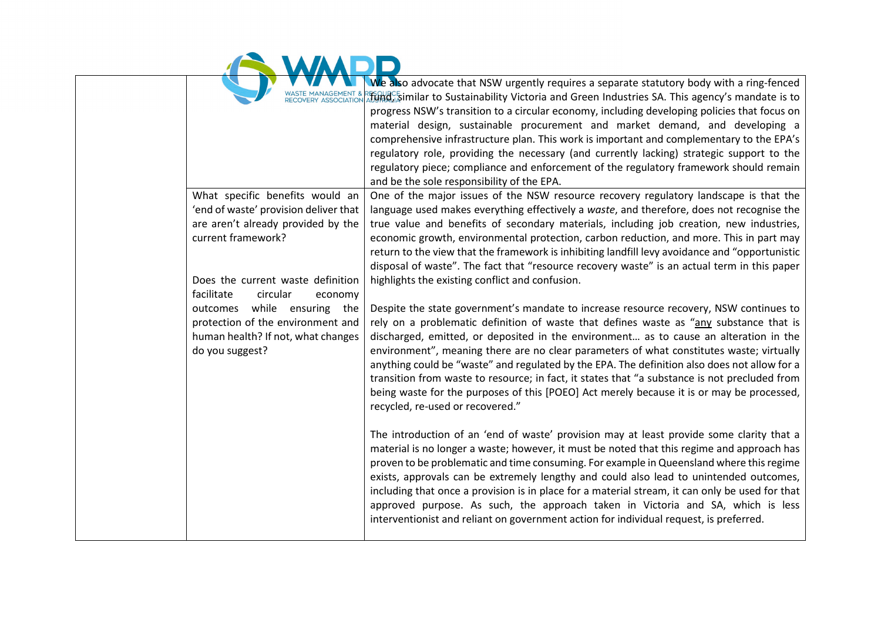|  |  | We als |
|--|--|--------|

|                                       | We also advocate that NSW urgently requires a separate statutory body with a ring-fenced                   |
|---------------------------------------|------------------------------------------------------------------------------------------------------------|
|                                       | $\mathbb{Z}$ ging, similar to Sustainability Victoria and Green Industries SA. This agency's mandate is to |
|                                       | progress NSW's transition to a circular economy, including developing policies that focus on               |
|                                       | material design, sustainable procurement and market demand, and developing a                               |
|                                       | comprehensive infrastructure plan. This work is important and complementary to the EPA's                   |
|                                       | regulatory role, providing the necessary (and currently lacking) strategic support to the                  |
|                                       | regulatory piece; compliance and enforcement of the regulatory framework should remain                     |
|                                       | and be the sole responsibility of the EPA.                                                                 |
| What specific benefits would an       | One of the major issues of the NSW resource recovery regulatory landscape is that the                      |
| 'end of waste' provision deliver that | language used makes everything effectively a waste, and therefore, does not recognise the                  |
| are aren't already provided by the    | true value and benefits of secondary materials, including job creation, new industries,                    |
| current framework?                    | economic growth, environmental protection, carbon reduction, and more. This in part may                    |
|                                       | return to the view that the framework is inhibiting landfill levy avoidance and "opportunistic             |
|                                       | disposal of waste". The fact that "resource recovery waste" is an actual term in this paper                |
| Does the current waste definition     | highlights the existing conflict and confusion.                                                            |
| facilitate<br>circular<br>economy     |                                                                                                            |
| while ensuring the<br>outcomes        | Despite the state government's mandate to increase resource recovery, NSW continues to                     |
| protection of the environment and     | rely on a problematic definition of waste that defines waste as "any substance that is                     |
| human health? If not, what changes    | discharged, emitted, or deposited in the environment as to cause an alteration in the                      |
| do you suggest?                       | environment", meaning there are no clear parameters of what constitutes waste; virtually                   |
|                                       | anything could be "waste" and regulated by the EPA. The definition also does not allow for a               |
|                                       | transition from waste to resource; in fact, it states that "a substance is not precluded from              |
|                                       | being waste for the purposes of this [POEO] Act merely because it is or may be processed,                  |
|                                       | recycled, re-used or recovered."                                                                           |
|                                       |                                                                                                            |
|                                       | The introduction of an 'end of waste' provision may at least provide some clarity that a                   |
|                                       | material is no longer a waste; however, it must be noted that this regime and approach has                 |
|                                       | proven to be problematic and time consuming. For example in Queensland where this regime                   |
|                                       | exists, approvals can be extremely lengthy and could also lead to unintended outcomes,                     |
|                                       | including that once a provision is in place for a material stream, it can only be used for that            |
|                                       | approved purpose. As such, the approach taken in Victoria and SA, which is less                            |
|                                       | interventionist and reliant on government action for individual request, is preferred.                     |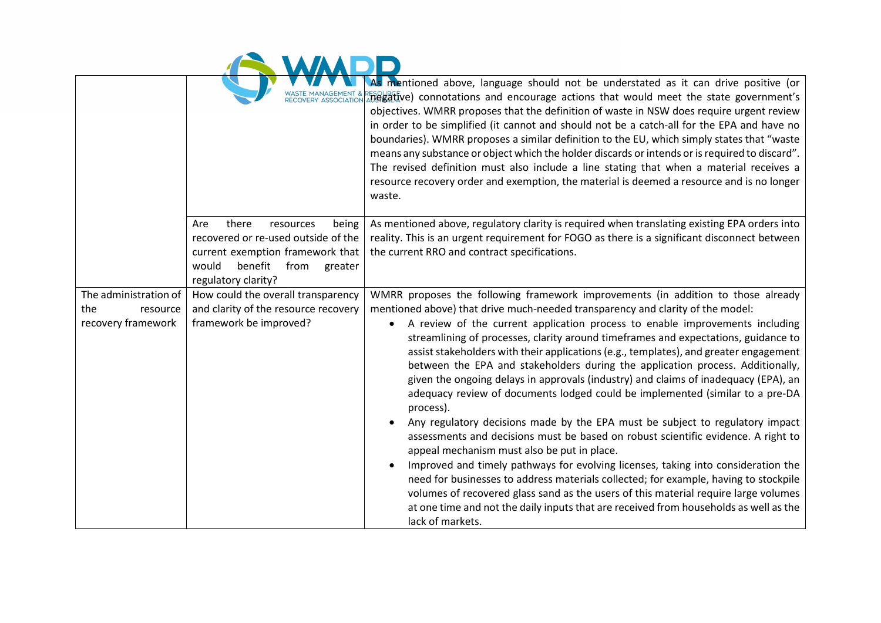|  |  | <b>AAA</b> |       |
|--|--|------------|-------|
|  |  |            | As me |

|                                                                |                                                                                                                                                                             | As mentioned above, language should not be understated as it can drive positive (or<br>hegative) connotations and encourage actions that would meet the state government's<br>objectives. WMRR proposes that the definition of waste in NSW does require urgent review<br>in order to be simplified (it cannot and should not be a catch-all for the EPA and have no<br>boundaries). WMRR proposes a similar definition to the EU, which simply states that "waste<br>means any substance or object which the holder discards or intends or is required to discard".<br>The revised definition must also include a line stating that when a material receives a<br>resource recovery order and exemption, the material is deemed a resource and is no longer<br>waste.                                                                                                                                                                                                                                                                                                                                                                                                                                                                                                                                         |
|----------------------------------------------------------------|-----------------------------------------------------------------------------------------------------------------------------------------------------------------------------|----------------------------------------------------------------------------------------------------------------------------------------------------------------------------------------------------------------------------------------------------------------------------------------------------------------------------------------------------------------------------------------------------------------------------------------------------------------------------------------------------------------------------------------------------------------------------------------------------------------------------------------------------------------------------------------------------------------------------------------------------------------------------------------------------------------------------------------------------------------------------------------------------------------------------------------------------------------------------------------------------------------------------------------------------------------------------------------------------------------------------------------------------------------------------------------------------------------------------------------------------------------------------------------------------------------|
|                                                                | Are<br>there<br>resources<br>being<br>recovered or re-used outside of the<br>current exemption framework that<br>benefit<br>would<br>from<br>greater<br>regulatory clarity? | As mentioned above, regulatory clarity is required when translating existing EPA orders into<br>reality. This is an urgent requirement for FOGO as there is a significant disconnect between<br>the current RRO and contract specifications.                                                                                                                                                                                                                                                                                                                                                                                                                                                                                                                                                                                                                                                                                                                                                                                                                                                                                                                                                                                                                                                                   |
| The administration of<br>the<br>resource<br>recovery framework | How could the overall transparency<br>and clarity of the resource recovery<br>framework be improved?                                                                        | WMRR proposes the following framework improvements (in addition to those already<br>mentioned above) that drive much-needed transparency and clarity of the model:<br>A review of the current application process to enable improvements including<br>streamlining of processes, clarity around timeframes and expectations, guidance to<br>assist stakeholders with their applications (e.g., templates), and greater engagement<br>between the EPA and stakeholders during the application process. Additionally,<br>given the ongoing delays in approvals (industry) and claims of inadequacy (EPA), an<br>adequacy review of documents lodged could be implemented (similar to a pre-DA<br>process).<br>Any regulatory decisions made by the EPA must be subject to regulatory impact<br>assessments and decisions must be based on robust scientific evidence. A right to<br>appeal mechanism must also be put in place.<br>Improved and timely pathways for evolving licenses, taking into consideration the<br>need for businesses to address materials collected; for example, having to stockpile<br>volumes of recovered glass sand as the users of this material require large volumes<br>at one time and not the daily inputs that are received from households as well as the<br>lack of markets. |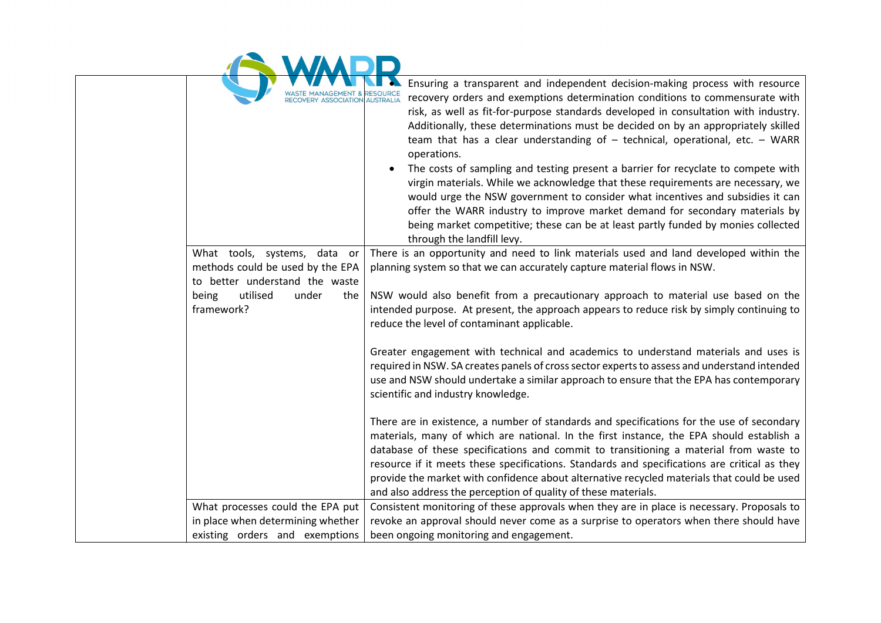| <b>WASTE MANAGEMENT &amp; RESOURCE</b> | N. |
|----------------------------------------|----|

| <b>FRY ASSOCIATION</b>                                                                                                                                | Ensuring a transparent and independent decision-making process with resource<br>recovery orders and exemptions determination conditions to commensurate with<br>risk, as well as fit-for-purpose standards developed in consultation with industry.<br>Additionally, these determinations must be decided on by an appropriately skilled<br>team that has a clear understanding of $-$ technical, operational, etc. $-$ WARR<br>operations.<br>The costs of sampling and testing present a barrier for recyclate to compete with<br>virgin materials. While we acknowledge that these requirements are necessary, we<br>would urge the NSW government to consider what incentives and subsidies it can<br>offer the WARR industry to improve market demand for secondary materials by<br>being market competitive; these can be at least partly funded by monies collected<br>through the landfill levy. |
|-------------------------------------------------------------------------------------------------------------------------------------------------------|----------------------------------------------------------------------------------------------------------------------------------------------------------------------------------------------------------------------------------------------------------------------------------------------------------------------------------------------------------------------------------------------------------------------------------------------------------------------------------------------------------------------------------------------------------------------------------------------------------------------------------------------------------------------------------------------------------------------------------------------------------------------------------------------------------------------------------------------------------------------------------------------------------|
| What tools, systems, data or<br>methods could be used by the EPA<br>to better understand the waste<br>utilised<br>being<br>under<br>the<br>framework? | There is an opportunity and need to link materials used and land developed within the<br>planning system so that we can accurately capture material flows in NSW.<br>NSW would also benefit from a precautionary approach to material use based on the<br>intended purpose. At present, the approach appears to reduce risk by simply continuing to                                                                                                                                                                                                                                                                                                                                                                                                                                                                                                                                                      |
|                                                                                                                                                       | reduce the level of contaminant applicable.<br>Greater engagement with technical and academics to understand materials and uses is<br>required in NSW. SA creates panels of cross sector experts to assess and understand intended<br>use and NSW should undertake a similar approach to ensure that the EPA has contemporary<br>scientific and industry knowledge.                                                                                                                                                                                                                                                                                                                                                                                                                                                                                                                                      |
|                                                                                                                                                       | There are in existence, a number of standards and specifications for the use of secondary<br>materials, many of which are national. In the first instance, the EPA should establish a<br>database of these specifications and commit to transitioning a material from waste to<br>resource if it meets these specifications. Standards and specifications are critical as they<br>provide the market with confidence about alternative recycled materials that could be used<br>and also address the perception of quality of these materials.                                                                                                                                                                                                                                                                                                                                                           |
| What processes could the EPA put<br>in place when determining whether<br>existing orders and exemptions                                               | Consistent monitoring of these approvals when they are in place is necessary. Proposals to<br>revoke an approval should never come as a surprise to operators when there should have<br>been ongoing monitoring and engagement.                                                                                                                                                                                                                                                                                                                                                                                                                                                                                                                                                                                                                                                                          |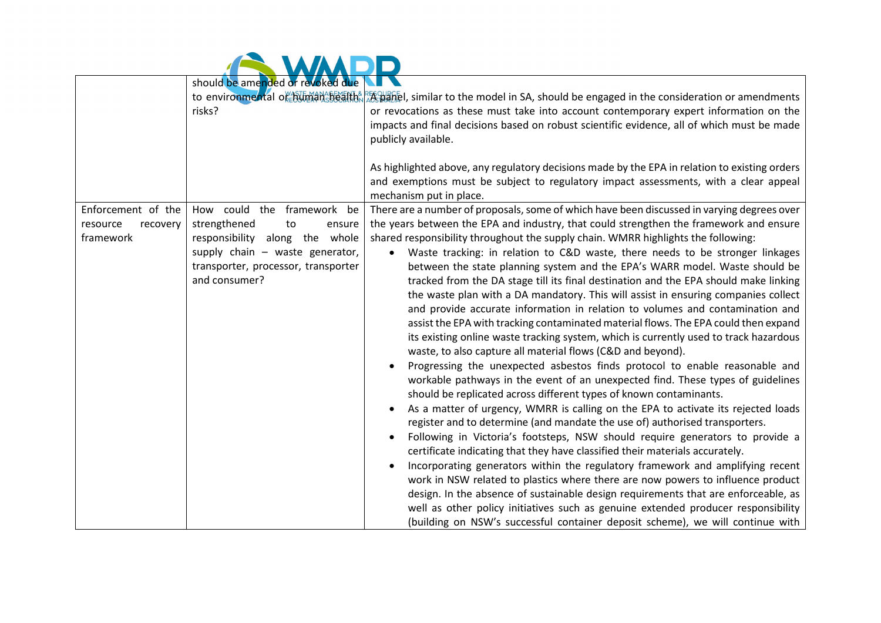|                                                         | should be amended or revoked due<br>risks?                                                                                                                                                 | to environmental or Bumana of the RESPECT. similar to the model in SA, should be engaged in the consideration or amendments<br>or revocations as these must take into account contemporary expert information on the<br>impacts and final decisions based on robust scientific evidence, all of which must be made<br>publicly available.                                                                                                                                                                                                                                                                                                                                                                                                                                                                                                                                                                                                                                                                                                                                                                                                                                                                                                                                                                                                                                                                                                                                                                                                                                                                                                                                                                                                                                                                                                                                                                                                                                           |
|---------------------------------------------------------|--------------------------------------------------------------------------------------------------------------------------------------------------------------------------------------------|-------------------------------------------------------------------------------------------------------------------------------------------------------------------------------------------------------------------------------------------------------------------------------------------------------------------------------------------------------------------------------------------------------------------------------------------------------------------------------------------------------------------------------------------------------------------------------------------------------------------------------------------------------------------------------------------------------------------------------------------------------------------------------------------------------------------------------------------------------------------------------------------------------------------------------------------------------------------------------------------------------------------------------------------------------------------------------------------------------------------------------------------------------------------------------------------------------------------------------------------------------------------------------------------------------------------------------------------------------------------------------------------------------------------------------------------------------------------------------------------------------------------------------------------------------------------------------------------------------------------------------------------------------------------------------------------------------------------------------------------------------------------------------------------------------------------------------------------------------------------------------------------------------------------------------------------------------------------------------------|
|                                                         |                                                                                                                                                                                            | As highlighted above, any regulatory decisions made by the EPA in relation to existing orders<br>and exemptions must be subject to regulatory impact assessments, with a clear appeal<br>mechanism put in place.                                                                                                                                                                                                                                                                                                                                                                                                                                                                                                                                                                                                                                                                                                                                                                                                                                                                                                                                                                                                                                                                                                                                                                                                                                                                                                                                                                                                                                                                                                                                                                                                                                                                                                                                                                    |
| Enforcement of the<br>resource<br>recovery<br>framework | How could the framework<br>be<br>strengthened<br>to<br>ensure<br>responsibility along the whole<br>supply chain - waste generator,<br>transporter, processor, transporter<br>and consumer? | There are a number of proposals, some of which have been discussed in varying degrees over<br>the years between the EPA and industry, that could strengthen the framework and ensure<br>shared responsibility throughout the supply chain. WMRR highlights the following:<br>Waste tracking: in relation to C&D waste, there needs to be stronger linkages<br>$\bullet$<br>between the state planning system and the EPA's WARR model. Waste should be<br>tracked from the DA stage till its final destination and the EPA should make linking<br>the waste plan with a DA mandatory. This will assist in ensuring companies collect<br>and provide accurate information in relation to volumes and contamination and<br>assist the EPA with tracking contaminated material flows. The EPA could then expand<br>its existing online waste tracking system, which is currently used to track hazardous<br>waste, to also capture all material flows (C&D and beyond).<br>Progressing the unexpected asbestos finds protocol to enable reasonable and<br>workable pathways in the event of an unexpected find. These types of guidelines<br>should be replicated across different types of known contaminants.<br>As a matter of urgency, WMRR is calling on the EPA to activate its rejected loads<br>register and to determine (and mandate the use of) authorised transporters.<br>Following in Victoria's footsteps, NSW should require generators to provide a<br>certificate indicating that they have classified their materials accurately.<br>Incorporating generators within the regulatory framework and amplifying recent<br>work in NSW related to plastics where there are now powers to influence product<br>design. In the absence of sustainable design requirements that are enforceable, as<br>well as other policy initiatives such as genuine extended producer responsibility<br>(building on NSW's successful container deposit scheme), we will continue with |